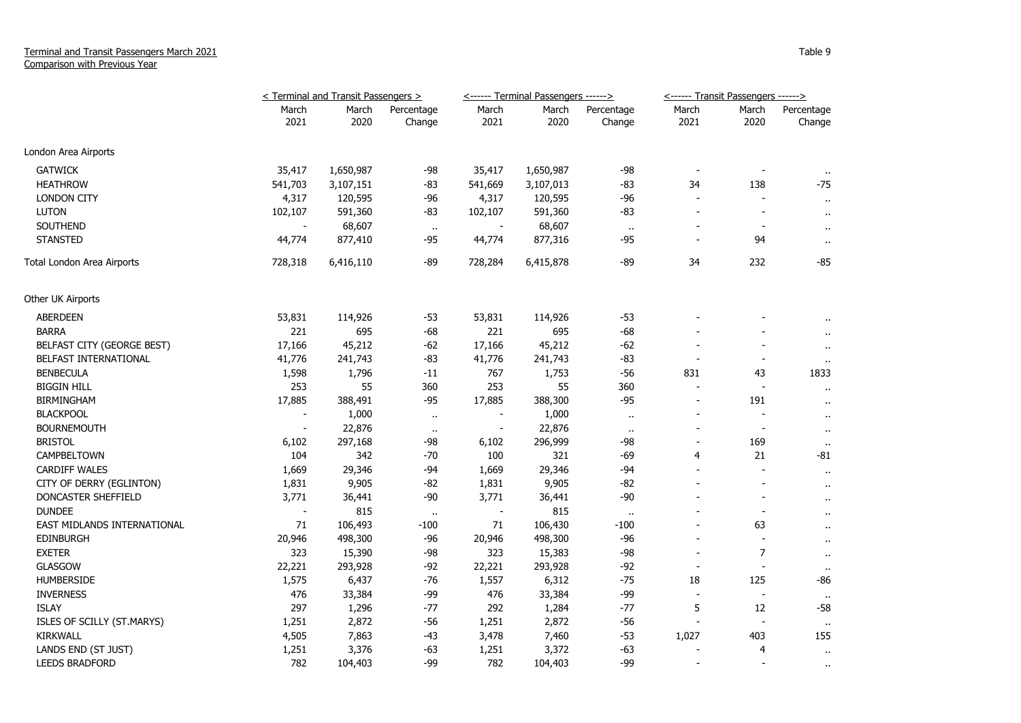## Terminal and Transit Passengers March 2021 Comparison with Previous Year

|                             | < Terminal and Transit Passengers > |               |                      | <------ Terminal Passengers ------> |               |                      | <------ Transit Passengers ------> |                          |                      |
|-----------------------------|-------------------------------------|---------------|----------------------|-------------------------------------|---------------|----------------------|------------------------------------|--------------------------|----------------------|
|                             | March<br>2021                       | March<br>2020 | Percentage<br>Change | March<br>2021                       | March<br>2020 | Percentage<br>Change | March<br>2021                      | March<br>2020            | Percentage<br>Change |
| London Area Airports        |                                     |               |                      |                                     |               |                      |                                    |                          |                      |
| <b>GATWICK</b>              | 35,417                              | 1,650,987     | $-98$                | 35,417                              | 1,650,987     | $-98$                |                                    |                          |                      |
| <b>HEATHROW</b>             | 541,703                             | 3,107,151     | $-83$                | 541,669                             | 3,107,013     | $-83$                | 34                                 | 138                      | $-75$                |
| <b>LONDON CITY</b>          | 4,317                               | 120,595       | $-96$                | 4,317                               | 120,595       | $-96$                |                                    |                          | $\sim$               |
| <b>LUTON</b>                | 102,107                             | 591,360       | -83                  | 102,107                             | 591,360       | $-83$                | $\overline{\phantom{a}}$           | $\overline{a}$           | $\mathbf{H}$         |
| SOUTHEND                    |                                     | 68,607        | $\bullet\bullet$     |                                     | 68,607        | $\bullet$ .          |                                    |                          | $\mathbf{r}$         |
| <b>STANSTED</b>             | 44,774                              | 877,410       | -95                  | 44,774                              | 877,316       | -95                  |                                    | 94                       | $\mathbf{r}$ .       |
| Total London Area Airports  | 728,318                             | 6,416,110     | -89                  | 728,284                             | 6,415,878     | $-89$                | 34                                 | 232                      | $-85$                |
| Other UK Airports           |                                     |               |                      |                                     |               |                      |                                    |                          |                      |
| <b>ABERDEEN</b>             | 53,831                              | 114,926       | $-53$                | 53,831                              | 114,926       | $-53$                |                                    |                          |                      |
| <b>BARRA</b>                | 221                                 | 695           | $-68$                | 221                                 | 695           | $-68$                |                                    |                          |                      |
| BELFAST CITY (GEORGE BEST)  | 17,166                              | 45,212        | $-62$                | 17,166                              | 45,212        | $-62$                |                                    |                          | $\ddot{\phantom{1}}$ |
| BELFAST INTERNATIONAL       | 41,776                              | 241,743       | $-83$                | 41,776                              | 241,743       | $-83$                | $\overline{\phantom{a}}$           | $\blacksquare$           | $\sim$               |
| <b>BENBECULA</b>            | 1,598                               | 1,796         | $-11$                | 767                                 | 1,753         | $-56$                | 831                                | 43                       | 1833                 |
| <b>BIGGIN HILL</b>          | 253                                 | 55            | 360                  | 253                                 | 55            | 360                  |                                    |                          | $\mathbf{u}$         |
| <b>BIRMINGHAM</b>           | 17,885                              | 388,491       | $-95$                | 17,885                              | 388,300       | $-95$                | $\blacksquare$                     | 191                      | $\mathbf{u}$         |
| <b>BLACKPOOL</b>            |                                     | 1,000         | $\bullet$ .          |                                     | 1,000         | $\bullet$ .          |                                    |                          | $\sim$               |
| <b>BOURNEMOUTH</b>          | $\blacksquare$                      | 22,876        | $\sim$               | $\overline{\phantom{a}}$            | 22,876        | $\alpha$             |                                    | $\blacksquare$           | $\sim$               |
| <b>BRISTOL</b>              | 6,102                               | 297,168       | -98                  | 6,102                               | 296,999       | -98                  | $\overline{\phantom{a}}$           | 169                      | $\mathbf{H}$         |
| CAMPBELTOWN                 | 104                                 | 342           | $-70$                | 100                                 | 321           | $-69$                | 4                                  | 21                       | $-81$                |
| <b>CARDIFF WALES</b>        | 1,669                               | 29,346        | -94                  | 1,669                               | 29,346        | $-94$                |                                    |                          | $\mathbf{r}$         |
| CITY OF DERRY (EGLINTON)    | 1,831                               | 9,905         | $-82$                | 1,831                               | 9,905         | $-82$                |                                    |                          | $\sim$               |
| DONCASTER SHEFFIELD         | 3,771                               | 36,441        | -90                  | 3,771                               | 36,441        | -90                  |                                    |                          | $\blacksquare$       |
| <b>DUNDEE</b>               | $\blacksquare$                      | 815           | $\bullet$ .          | $\overline{\phantom{a}}$            | 815           | $\sim$               |                                    | $\overline{\phantom{a}}$ | $\ddot{\phantom{1}}$ |
| EAST MIDLANDS INTERNATIONAL | 71                                  | 106,493       | -100                 | 71                                  | 106,430       | $-100$               |                                    | 63                       | $\blacksquare$       |
| <b>EDINBURGH</b>            | 20,946                              | 498,300       | -96                  | 20,946                              | 498,300       | $-96$                | $\sim$                             |                          | $\sim$               |
| <b>EXETER</b>               | 323                                 | 15,390        | $-98$                | 323                                 | 15,383        | $-98$                |                                    | 7                        | $\sim$               |
| <b>GLASGOW</b>              | 22,221                              | 293,928       | $-92$                | 22,221                              | 293,928       | $-92$                | $\blacksquare$                     |                          | $\sim$               |
| <b>HUMBERSIDE</b>           | 1,575                               | 6,437         | -76                  | 1,557                               | 6,312         | $-75$                | 18                                 | 125                      | -86                  |
| <b>INVERNESS</b>            | 476                                 | 33,384        | -99                  | 476                                 | 33,384        | $-99$                |                                    |                          |                      |
| <b>ISLAY</b>                | 297                                 | 1,296         | -77                  | 292                                 | 1,284         | $-77$                | 5                                  | 12                       | -58                  |
| ISLES OF SCILLY (ST.MARYS)  | 1,251                               | 2,872         | $-56$                | 1,251                               | 2,872         | $-56$                |                                    | $\overline{\phantom{a}}$ | $\mathbf{H}$         |
| <b>KIRKWALL</b>             | 4,505                               | 7,863         | $-43$                | 3,478                               | 7,460         | $-53$                | 1,027                              | 403                      | 155                  |
| LANDS END (ST JUST)         | 1,251                               | 3,376         | $-63$                | 1,251                               | 3,372         | $-63$                |                                    | 4                        | $\bullet$            |
| <b>LEEDS BRADFORD</b>       | 782                                 | 104,403       | -99                  | 782                                 | 104,403       | -99                  |                                    |                          | $\cdots$             |